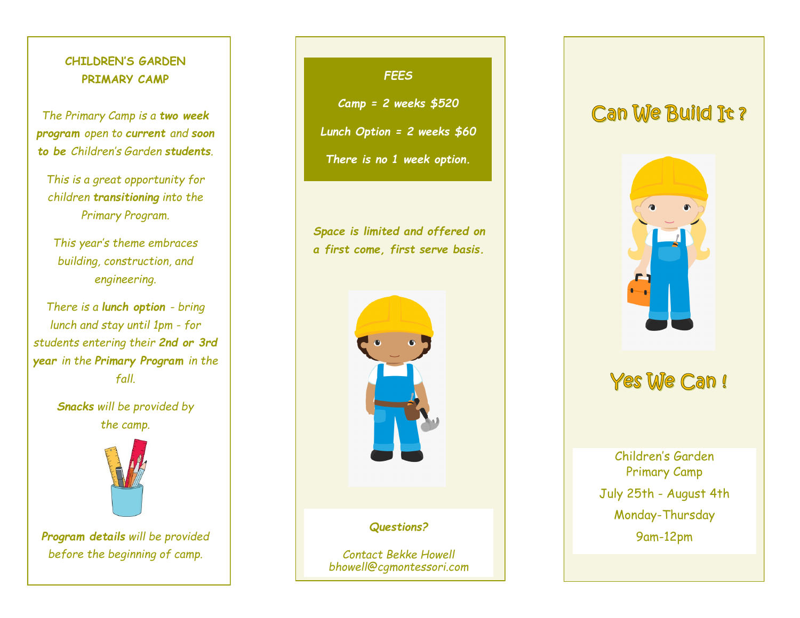## **CHILDREN'S GARDEN PRIMARY CAMP**

*The Primary Camp is a two week program open to current and soon to be Children's Garden students.* 

*This is a great opportunity for children transitioning into the Primary Program.* 

*This year's theme embraces building, construction, and engineering.*

*There is a lunch option - bring lunch and stay until 1pm - for students entering their 2nd or 3rd year in the Primary Program in the fall.*

> *Snacks will be provided by the camp.*



*Program details will be provided before the beginning of camp.*

### *FEES*

*Camp = 2 weeks \$520*

*Lunch Option = 2 weeks \$60*

*There is no 1 week option.*

*Space is limited and offered on a first come, first serve basis.*



# Can We Build Jt?



# Yes We Can!

Monday-Thursday Children's Garden Primary Camp July 25th - August 4th 9am-12pm